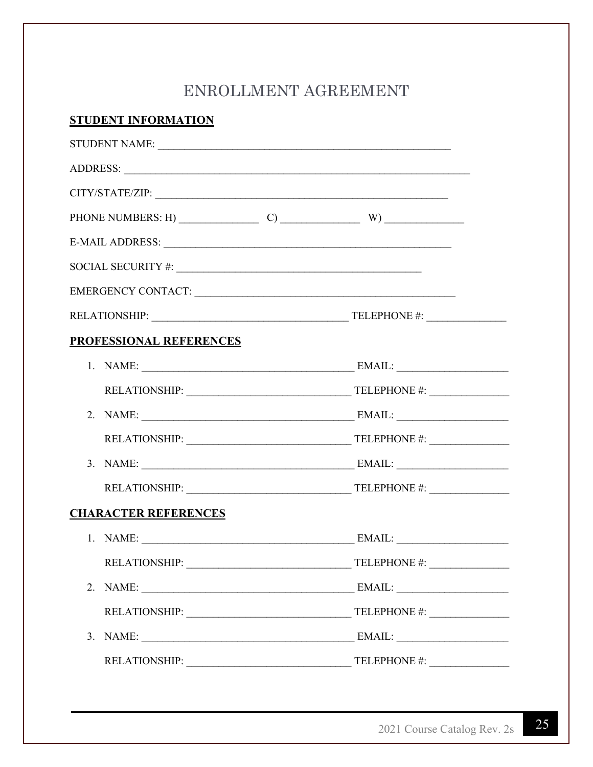# ENROLLMENT AGREEMENT

## **STUDENT INFORMATION**

|                             | EMERGENCY CONTACT:                                                                                                                                                                                                                                                                                                                                                                                                                                                                                                            |  |
|-----------------------------|-------------------------------------------------------------------------------------------------------------------------------------------------------------------------------------------------------------------------------------------------------------------------------------------------------------------------------------------------------------------------------------------------------------------------------------------------------------------------------------------------------------------------------|--|
|                             |                                                                                                                                                                                                                                                                                                                                                                                                                                                                                                                               |  |
| PROFESSIONAL REFERENCES     |                                                                                                                                                                                                                                                                                                                                                                                                                                                                                                                               |  |
|                             |                                                                                                                                                                                                                                                                                                                                                                                                                                                                                                                               |  |
|                             |                                                                                                                                                                                                                                                                                                                                                                                                                                                                                                                               |  |
|                             |                                                                                                                                                                                                                                                                                                                                                                                                                                                                                                                               |  |
|                             |                                                                                                                                                                                                                                                                                                                                                                                                                                                                                                                               |  |
|                             |                                                                                                                                                                                                                                                                                                                                                                                                                                                                                                                               |  |
|                             |                                                                                                                                                                                                                                                                                                                                                                                                                                                                                                                               |  |
| <b>CHARACTER REFERENCES</b> |                                                                                                                                                                                                                                                                                                                                                                                                                                                                                                                               |  |
|                             |                                                                                                                                                                                                                                                                                                                                                                                                                                                                                                                               |  |
| <b>RELATIONSHIP:</b>        | TELEPHONE #:                                                                                                                                                                                                                                                                                                                                                                                                                                                                                                                  |  |
|                             |                                                                                                                                                                                                                                                                                                                                                                                                                                                                                                                               |  |
|                             |                                                                                                                                                                                                                                                                                                                                                                                                                                                                                                                               |  |
|                             | $\text{EMAIL:}\underbrace{\qquad \qquad }_{\qquad \qquad \qquad \qquad }\qquad \qquad \qquad ~~\qquad \qquad ~~\qquad \qquad ~~\qquad \qquad ~~\qquad \qquad ~~\qquad \qquad ~~\qquad \qquad ~~\qquad \qquad ~~\qquad \qquad ~~\qquad \qquad ~~\qquad \qquad ~~\qquad \qquad ~~\qquad \qquad ~~\qquad \qquad ~~\qquad \qquad ~~\qquad \qquad ~~\qquad \qquad ~~\qquad \qquad ~~\qquad \qquad ~~\qquad \qquad ~~\qquad \qquad ~~\qquad \qquad ~~\qquad \qquad ~~\qquad \qquad ~~\qquad \qquad ~~\qquad \qquad ~~\qquad \qquad$ |  |
|                             |                                                                                                                                                                                                                                                                                                                                                                                                                                                                                                                               |  |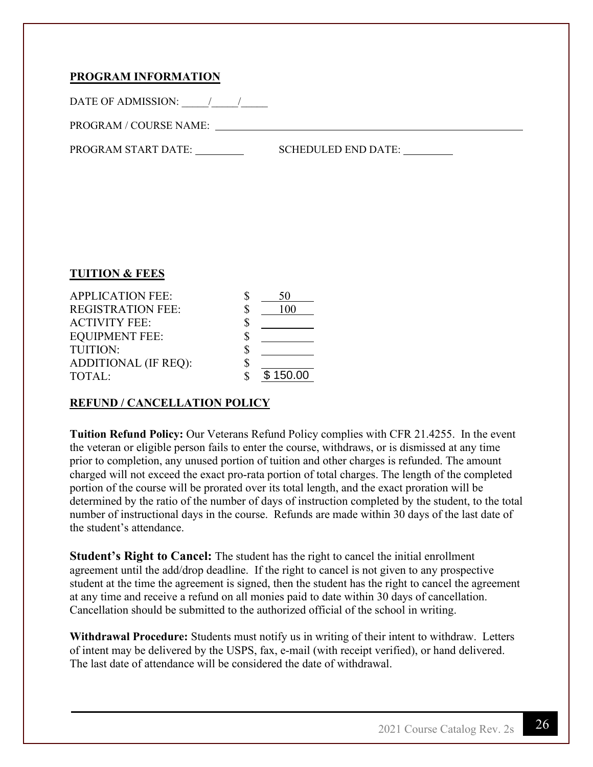## **PROGRAM INFORMATION**

DATE OF ADMISSION:  $\qquad$  /

PROGRAM / COURSE NAME:

SCHEDULED END DATE: PROGRAM START DATE:

#### **TUITION & FEES**

| <b>APPLICATION FEE:</b>     |          |
|-----------------------------|----------|
| <b>REGISTRATION FEE:</b>    |          |
| <b>ACTIVITY FEE:</b>        |          |
| <b>EQUIPMENT FEE:</b>       |          |
| <b>TUITION:</b>             |          |
| <b>ADDITIONAL (IF REQ):</b> |          |
| TOTAL:                      | \$150.00 |

## **REFUND / CANCELLATION POLICY**

**Tuition Refund Policy:** Our Veterans Refund Policy complies with CFR 21.4255. In the event the veteran or eligible person fails to enter the course, withdraws, or is dismissed at any time prior to completion, any unused portion of tuition and other charges is refunded. The amount charged will not exceed the exact pro-rata portion of total charges. The length of the completed portion of the course will be prorated over its total length, and the exact proration will be determined by the ratio of the number of days of instruction completed by the student, to the total number of instructional days in the course. Refunds are made within 30 days of the last date of the student's attendance.

**Student's Right to Cancel:** The student has the right to cancel the initial enrollment agreement until the add/drop deadline. If the right to cancel is not given to any prospective student at the time the agreement is signed, then the student has the right to cancel the agreement at any time and receive a refund on all monies paid to date within 30 days of cancellation. Cancellation should be submitted to the authorized official of the school in writing.

**Withdrawal Procedure:** Students must notify us in writing of their intent to withdraw. Letters of intent may be delivered by the USPS, fax, e-mail (with receipt verified), or hand delivered. The last date of attendance will be considered the date of withdrawal.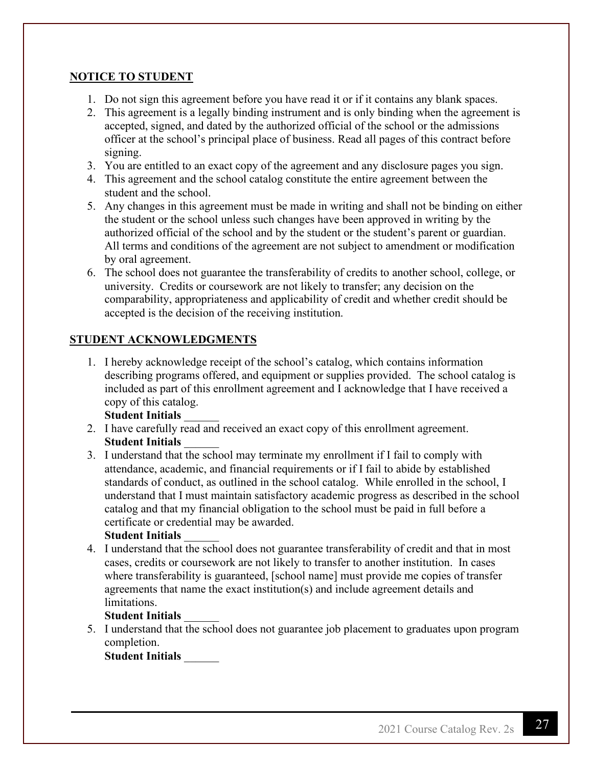## **NOTICE TO STUDENT**

- 1. Do not sign this agreement before you have read it or if it contains any blank spaces.
- 2. This agreement is a legally binding instrument and is only binding when the agreement is accepted, signed, and dated by the authorized official of the school or the admissions officer at the school's principal place of business. Read all pages of this contract before signing.
- 3. You are entitled to an exact copy of the agreement and any disclosure pages you sign.
- 4. This agreement and the school catalog constitute the entire agreement between the student and the school.
- 5. Any changes in this agreement must be made in writing and shall not be binding on either the student or the school unless such changes have been approved in writing by the authorized official of the school and by the student or the student's parent or guardian. All terms and conditions of the agreement are not subject to amendment or modification by oral agreement.
- 6. The school does not guarantee the transferability of credits to another school, college, or university. Credits or coursework are not likely to transfer; any decision on the comparability, appropriateness and applicability of credit and whether credit should be accepted is the decision of the receiving institution.

## **STUDENT ACKNOWLEDGMENTS**

1. I hereby acknowledge receipt of the school's catalog, which contains information describing programs offered, and equipment or supplies provided. The school catalog is included as part of this enrollment agreement and I acknowledge that I have received a copy of this catalog.

## **Student Initials** \_\_\_\_\_\_

- 2. I have carefully read and received an exact copy of this enrollment agreement. **Student Initials** \_\_\_\_\_\_
- 3. I understand that the school may terminate my enrollment if I fail to comply with attendance, academic, and financial requirements or if I fail to abide by established standards of conduct, as outlined in the school catalog. While enrolled in the school, I understand that I must maintain satisfactory academic progress as described in the school catalog and that my financial obligation to the school must be paid in full before a certificate or credential may be awarded.

## **Student Initials** \_\_\_\_\_\_

4. I understand that the school does not guarantee transferability of credit and that in most cases, credits or coursework are not likely to transfer to another institution. In cases where transferability is guaranteed, [school name] must provide me copies of transfer agreements that name the exact institution(s) and include agreement details and limitations.

## **Student Initials** \_\_\_\_\_\_

5. I understand that the school does not guarantee job placement to graduates upon program completion.

## **Student Initials** \_\_\_\_\_\_